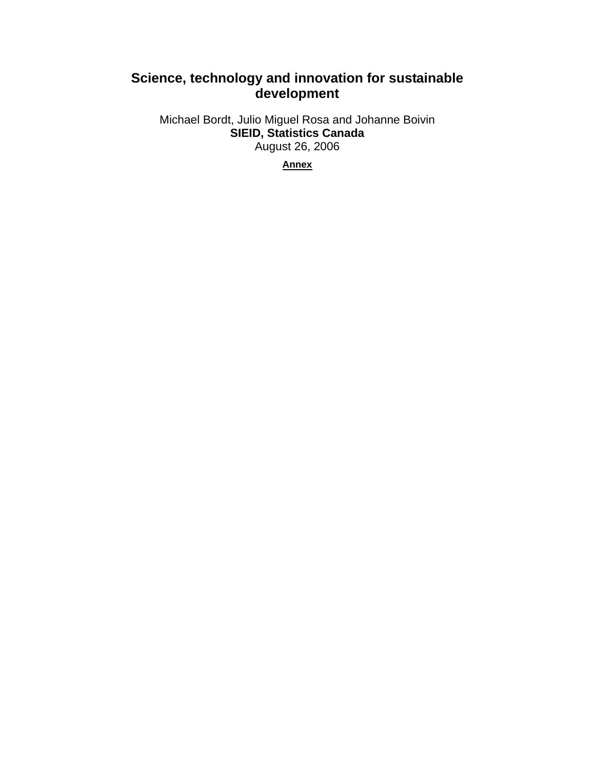# **Science, technology and innovation for sustainable development**

Michael Bordt, Julio Miguel Rosa and Johanne Boivin **SIEID, Statistics Canada**  August 26, 2006

**Annex**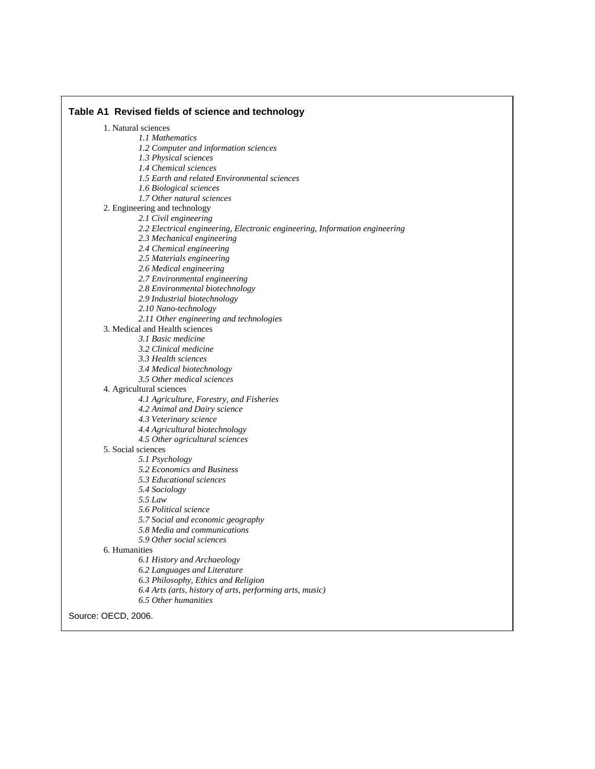**Table A1 Revised fields of science and technology**  1. Natural sciences *1.1 Mathematics 1.2 Computer and information sciences 1.3 Physical sciences 1.4 Chemical sciences 1.5 Earth and related Environmental sciences 1.6 Biological sciences 1.7 Other natural sciences*  2. Engineering and technology *2.1 Civil engineering 2.2 Electrical engineering, Electronic engineering, Information engineering 2.3 Mechanical engineering 2.4 Chemical engineering 2.5 Materials engineering 2.6 Medical engineering 2.7 Environmental engineering 2.8 Environmental biotechnology 2.9 Industrial biotechnology 2.10 Nano-technology 2.11 Other engineering and technologies*  3. Medical and Health sciences *3.1 Basic medicine 3.2 Clinical medicine 3.3 Health sciences 3.4 Medical biotechnology 3.5 Other medical sciences*  4. Agricultural sciences *4.1 Agriculture, Forestry, and Fisheries 4.2 Animal and Dairy science 4.3 Veterinary science 4.4 Agricultural biotechnology 4.5 Other agricultural sciences*  5. Social sciences *5.1 Psychology 5.2 Economics and Business 5.3 Educational sciences 5.4 Sociology 5.5 Law 5.6 Political science 5.7 Social and economic geography 5.8 Media and communications 5.9 Other social sciences*  6. Humanities *6.1 History and Archaeology 6.2 Languages and Literature 6.3 Philosophy, Ethics and Religion 6.4 Arts (arts, history of arts, performing arts, music) 6.5 Other humanities* 

Source: OECD, 2006.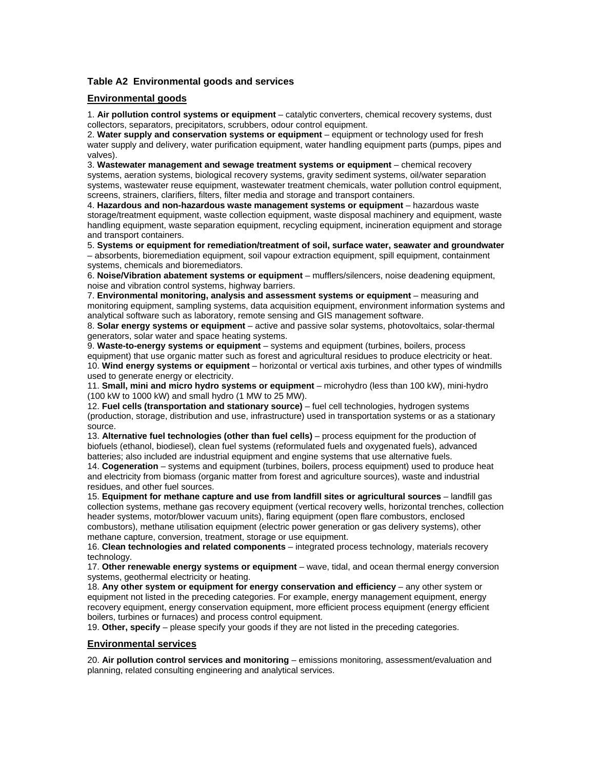## **Table A2 Environmental goods and services**

### **Environmental goods**

1. **Air pollution control systems or equipment** – catalytic converters, chemical recovery systems, dust collectors, separators, precipitators, scrubbers, odour control equipment.

2. **Water supply and conservation systems or equipment** – equipment or technology used for fresh water supply and delivery, water purification equipment, water handling equipment parts (pumps, pipes and valves).

3. **Wastewater management and sewage treatment systems or equipment** – chemical recovery systems, aeration systems, biological recovery systems, gravity sediment systems, oil/water separation systems, wastewater reuse equipment, wastewater treatment chemicals, water pollution control equipment, screens, strainers, clarifiers, filters, filter media and storage and transport containers.

4. **Hazardous and non-hazardous waste management systems or equipment** – hazardous waste storage/treatment equipment, waste collection equipment, waste disposal machinery and equipment, waste handling equipment, waste separation equipment, recycling equipment, incineration equipment and storage and transport containers.

5. **Systems or equipment for remediation/treatment of soil, surface water, seawater and groundwater**  – absorbents, bioremediation equipment, soil vapour extraction equipment, spill equipment, containment systems, chemicals and bioremediators.

6. **Noise/Vibration abatement systems or equipment** – mufflers/silencers, noise deadening equipment, noise and vibration control systems, highway barriers.

7. **Environmental monitoring, analysis and assessment systems or equipment** – measuring and monitoring equipment, sampling systems, data acquisition equipment, environment information systems and analytical software such as laboratory, remote sensing and GIS management software.

8. **Solar energy systems or equipment** – active and passive solar systems, photovoltaics, solar-thermal generators, solar water and space heating systems.

9. **Waste-to-energy systems or equipment** – systems and equipment (turbines, boilers, process equipment) that use organic matter such as forest and agricultural residues to produce electricity or heat. 10. **Wind energy systems or equipment** – horizontal or vertical axis turbines, and other types of windmills used to generate energy or electricity.

11. **Small, mini and micro hydro systems or equipment** – microhydro (less than 100 kW), mini-hydro (100 kW to 1000 kW) and small hydro (1 MW to 25 MW).

12. **Fuel cells (transportation and stationary source)** – fuel cell technologies, hydrogen systems (production, storage, distribution and use, infrastructure) used in transportation systems or as a stationary source.

13. **Alternative fuel technologies (other than fuel cells)** – process equipment for the production of biofuels (ethanol, biodiesel), clean fuel systems (reformulated fuels and oxygenated fuels), advanced batteries; also included are industrial equipment and engine systems that use alternative fuels.

14. **Cogeneration** – systems and equipment (turbines, boilers, process equipment) used to produce heat and electricity from biomass (organic matter from forest and agriculture sources), waste and industrial residues, and other fuel sources.

15. **Equipment for methane capture and use from landfill sites or agricultural sources** – landfill gas collection systems, methane gas recovery equipment (vertical recovery wells, horizontal trenches, collection header systems, motor/blower vacuum units), flaring equipment (open flare combustors, enclosed combustors), methane utilisation equipment (electric power generation or gas delivery systems), other methane capture, conversion, treatment, storage or use equipment.

16. **Clean technologies and related components** – integrated process technology, materials recovery technology.

17. **Other renewable energy systems or equipment** – wave, tidal, and ocean thermal energy conversion systems, geothermal electricity or heating.

18. Any other system or equipment for energy conservation and efficiency – any other system or equipment not listed in the preceding categories. For example, energy management equipment, energy recovery equipment, energy conservation equipment, more efficient process equipment (energy efficient boilers, turbines or furnaces) and process control equipment.

19. **Other, specify** – please specify your goods if they are not listed in the preceding categories.

#### **Environmental services**

20. **Air pollution control services and monitoring** – emissions monitoring, assessment/evaluation and planning, related consulting engineering and analytical services.